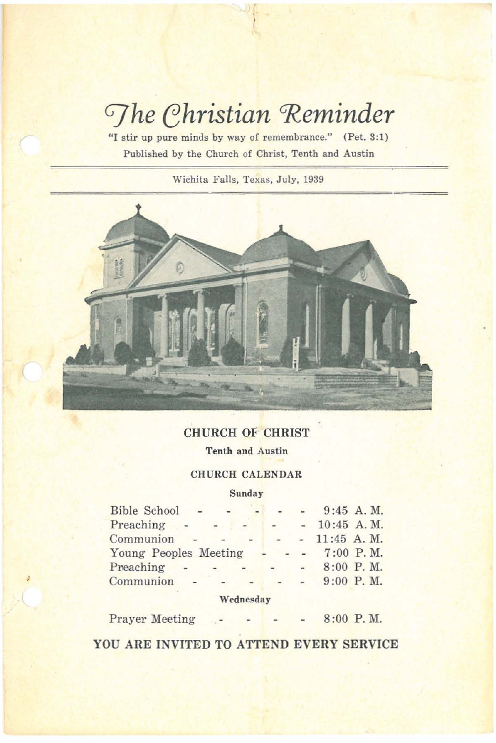# *Ghristian* Reminder

**'lI stir up pure minds by way of remembrance." (Pet. 3:1) Published by the Church of Christ, Tenth and Austin**

**Wichita Falls, Texas, July, 1939**



# CHURCH of CHRIST

**Tenth and Austin**

# CHURCH CALENDAR

## **Sunday**

| Bible School          |     |              |                |        |                | $9:45$ A.M. |
|-----------------------|-----|--------------|----------------|--------|----------------|-------------|
| Preaching             | $-$ |              | $\sim$         |        | $-10:45$ A.M.  |             |
| Communion             | ÷.  | <b>STATE</b> |                |        | $-11:45$ A, M. |             |
| Young Peoples Meeting |     |              |                |        | $7:00$ P.M.    |             |
| Preaching             |     |              | $\overline{a}$ | $\sim$ |                | $8:00$ P.M. |
| Communion             |     |              |                |        |                | $9:00$ P.M. |
|                       |     |              |                |        |                |             |

**\Vednesday**

Prayer Meeting 8:00 P. M.

YOU ARE INVITED TO ATTEND EVERY SERVICE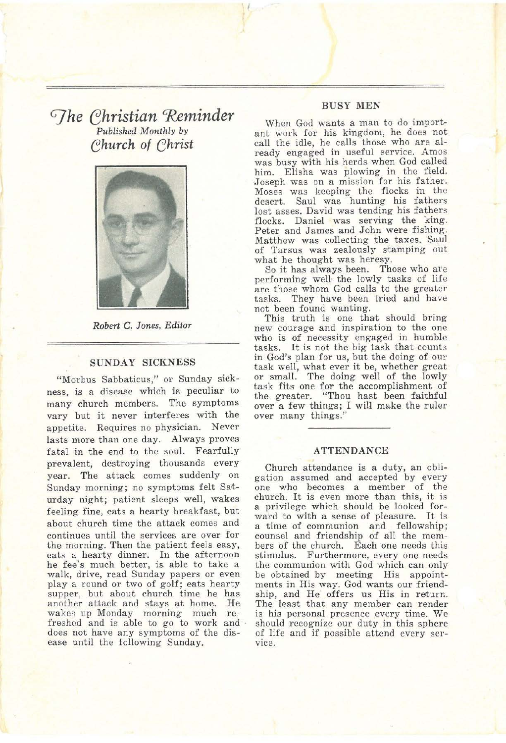# *G]he ehristian 'Reminder Published Monthly by ehurch* of *ehrist*



*Robert* C. *Jones, Editor*

#### SUNDAY SICKNESS

"Morbus Sabbaticus," or Sunday sickness, is a disease which is peculiar to many church members. The symptoms vary but it never interferes with the appetite. Requires no physician. Never lasts more than one day. Always proves fatal in the end to the soul. Fearfully prevalent, destroying thousands every year. The attack comes suddenly on Sunday morning; no symptoms felt Saturday night; patient sleeps well, wakes feeling fine, eats a hearty breakfast, but about church time the attack comes and continues until the services are over for the morning. Then the patient feels easy, eats a hearty dinner. In the afternoon he fee's much better, is able to take a walk, drive, read Sunday papers or even playa round or two of golf; eats hearty supper, but about church time he has another attack and stays at home. He freshed and is able to go to work and does not have any symptoms of the dis- ease until the following Sunday.

#### BUSY MEN

When God wants a man to do important work for his kingdom, he does not call the idle, he calls those who are already engaged in useful service. Amos was busy with his herds when God called him. Elisha was plowing in the field. 'Joseph was on a mission for his father. Moses was keeping the flocks in the desert. Saul was hunting his fathers lost asses. David was tending his fathers flocks. Daniel was serving the king, Peter and James and John were fishing. Matthew was collecting the taxes. Saul of Tarsus was zealously stamping out

what he thought was heresy.<br>So it has always been. Those who are performing well the lowly tasks of life are those whom God calls to the greater tasks. They have been tried and have not been found wanting.<br>This truth is one that should bring

new courage and inspiration to the one who is of necessity engaged in humble tasks. It is not the big task that counts in God's plan for us, but the doing of ou~' task well, what ever it be, whether great or small. The doing well of the lowly task fits one for the accomplishment of the greater. "Thou hast been faithful over a few things; I will make the ruler over many things."

#### **ATTENDANCE**

Church attendance is a duty, an obligation assumed and accepted by every one who becomes a member of the church. It is even more than this, it is a privilege which should be looked forward to with a sense of pleasure. It is a time of communion and fellowship; counsel and friendship of all the mem-<br>bers of the church. Each one needs this stimulus. Furthermore, every one needs the communion with God which can only be obtained by meeting His appointments in His way, God wants our friendship, and He' offers us His in return, The least that any member can render is his personal presence every time. We should recognize our duty in this sphere of life and if possible attend every service.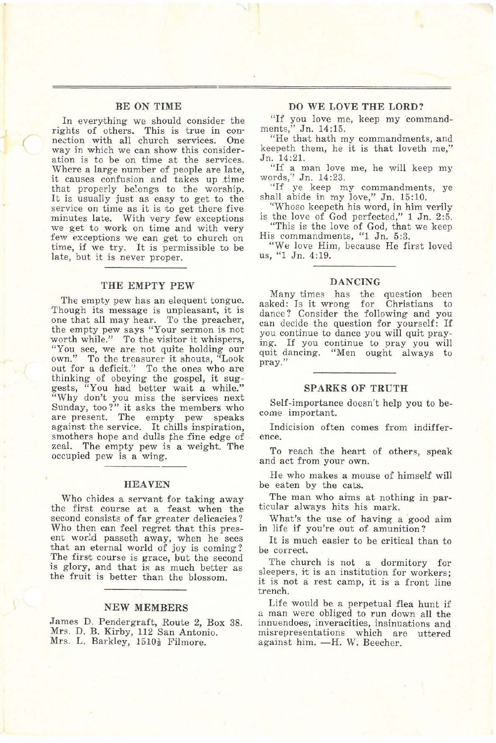#### BE ON TIME

(

In everything we should consider the rights of others. This is true in connection with all church services. One way in which we can show this consideration is to be on time at the services. Where a large number of people are late, it causes confusion and takes up .time that properly belongs to the worship. It is usually just as easy to get to the service on time as it is to get there five minutes late. With very few exceptions we get to work on time and with very time, if we try. It is permissible to be late, but it is never proper.

#### THE EMPTY PEW

The empty pew has an elequent tongue. Though its message is unpleasant, it is one that all may hear. To the preacher, the empty pew says "Your sermon is not worth while." To the visitor it whispers, "You see, we are not quite holding our own." To the treasurer it shouts, "Look out for a deficit." To the ones who are thinking of obeying the gospel, it suggests, "You had better wait a while." "Why don't you miss the services next Sunday, too?" it asks the members who are present. The empty pew speaks against the service. It chills inspiration, smothers hope and dulls the fine edge of zeal. The empty pew is a weight. The occupied pew is a wing.

#### HEAVEN

Who chides a servant for taking away the first course at a feast when the second consists of far greater delicacies? Who then can feel regret that this present world passeth away, when he sees that an eternal world of joy is coming ? The first course is grace, but the second is glory, and that is as much better as the fruit is better than the blossom.

#### NEW MEMBERS

James D. Pendergraft, Route 2, Box 38. Mrs. D, B. Kirby, 112 San Antonio. Mrs. L. Barkley, 1510<sup>1</sup> Filmore.

#### DO WE LOVE THE LORD?

"If you love me, keep my command-<br>ments," Jn. 14:15. " Jn. 14:15.

"He that hath my commandments, and keepeth them, he it is that loveth me," In. 14:2l.

"If a man love me, he will keep my words," In. 14:23. "If ye keep my commandments, ye

shall abide in my love," *3n. 15:10.*

"Whoso keepeth his word, in him verily is the love of God perfected," 1 Jn. 2:5.

"This is the love of God, that we keep His commandments, "1 Jn. 5:3.

"We love Him, because He first loved us. "1 Jn. 4:19.

#### DANCING

Many times has the question been asked: Is it wrong for Christians to dance? Consider the following and you can decide the question for yourself: If you continue to dance you will quit pray~ ing. If you continue to pray you will quit dancing. "Men ought always to pray."

#### SPARKS OF TRUTH

Self-importance doesn't help you to be- come important.

Indicision often comes from indiffer-<br>ence.

To reach the heart of others, speak and act from your own,

He who makes a mouse of himself will be eaten by the cats.

The man who aims at nothing in particular always hits his mark.

What's the use of having a good aim in life if you're out of amunition?

It is much easier to be critical than to be correct.

The church is not a dormitory for sleepers, it is an institution for workers; it is not a rest camp, it is a front line trench.

Life would be a perpetual flea hunt if a man were obliged to run down all the innuendoeS', inveracities, insinuations and misrepresentations which are uttered against him. -H. W. Beecher.